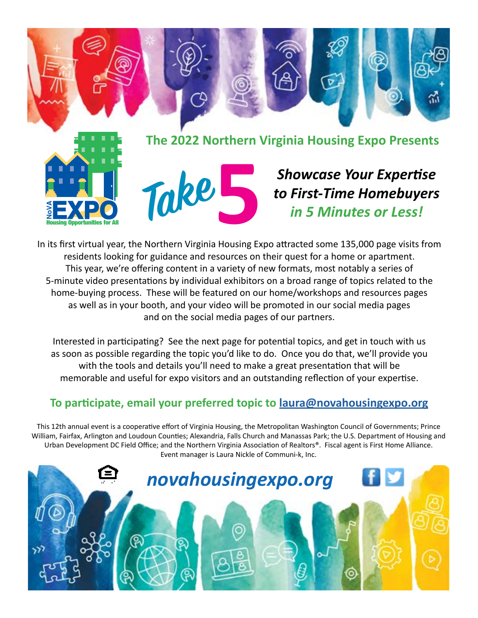

In its first virtual year, the Northern Virginia Housing Expo attracted some 135,000 page visits from residents looking for guidance and resources on their quest for a home or apartment. This year, we're offering content in a variety of new formats, most notably a series of 5-minute video presentations by individual exhibitors on a broad range of topics related to the home-buying process. These will be featured on our home/workshops and resources pages as well as in your booth, and your video will be promoted in our social media pages and on the social media pages of our partners.

Interested in participating? See the next page for potential topics, and get in touch with us as soon as possible regarding the topic you'd like to do. Once you do that, we'll provide you with the tools and details you'll need to make a great presentation that will be memorable and useful for expo visitors and an outstanding reflection of your expertise.

# **To participate, email your preferred topic to [laura@novahousingexpo.org](mailto:laura%40novahousingexpo.org?subject=)**

This 12th annual event is a cooperative effort of Virginia Housing, the Metropolitan Washington Council of Governments; Prince William, Fairfax, Arlington and Loudoun Counties; Alexandria, Falls Church and Manassas Park; the U.S. Department of Housing and Urban Development DC Field Office; and the Northern Virginia Association of Realtors®. Fiscal agent is First Home Alliance. Event manager is Laura Nickle of Communi-k, Inc.